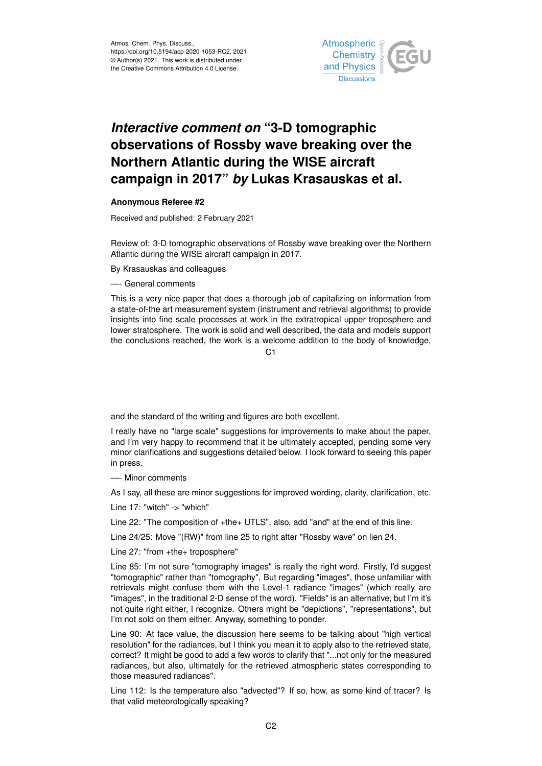

## *Interactive comment on* **"3-D tomographic observations of Rossby wave breaking over the Northern Atlantic during the WISE aircraft campaign in 2017"** *by* **Lukas Krasauskas et al.**

## **Anonymous Referee #2**

Received and published: 2 February 2021

Review of: 3-D tomographic observations of Rossby wave breaking over the Northern Atlantic during the WISE aircraft campaign in 2017.

By Krasauskas and colleagues

—- General comments

This is a very nice paper that does a thorough job of capitalizing on information from a state-of-the art measurement system (instrument and retrieval algorithms) to provide insights into fine scale processes at work in the extratropical upper troposphere and lower stratosphere. The work is solid and well described, the data and models support the conclusions reached, the work is a welcome addition to the body of knowledge,

 $C<sub>1</sub>$ 

and the standard of the writing and figures are both excellent.

I really have no "large scale" suggestions for improvements to make about the paper, and I'm very happy to recommend that it be ultimately accepted, pending some very minor clarifications and suggestions detailed below. I look forward to seeing this paper in press.

—- Minor comments

As I say, all these are minor suggestions for improved wording, clarity, clarification, etc.

Line 17: "witch" -> "which"

Line 22: "The composition of +the+ UTLS", also, add "and" at the end of this line.

Line 24/25: Move "(RW)" from line 25 to right after "Rossby wave" on lien 24.

Line 27: "from +the+ troposphere"

Line 85: I'm not sure "tomography images" is really the right word. Firstly, I'd suggest "tomographic" rather than "tomography". But regarding "images", those unfamiliar with retrievals might confuse them with the Level-1 radiance "images" (which really are "images", in the traditional 2-D sense of the word). "Fields" is an alternative, but I'm it's not quite right either, I recognize. Others might be "depictions", "representations", but I'm not sold on them either. Anyway, something to ponder.

Line 90: At face value, the discussion here seems to be talking about "high vertical resolution" for the radiances, but I think you mean it to apply also to the retrieved state, correct? It might be good to add a few words to clarify that "...not only for the measured radiances, but also, ultimately for the retrieved atmospheric states corresponding to those measured radiances".

Line 112: Is the temperature also "advected"? If so, how, as some kind of tracer? Is that valid meteorologically speaking?